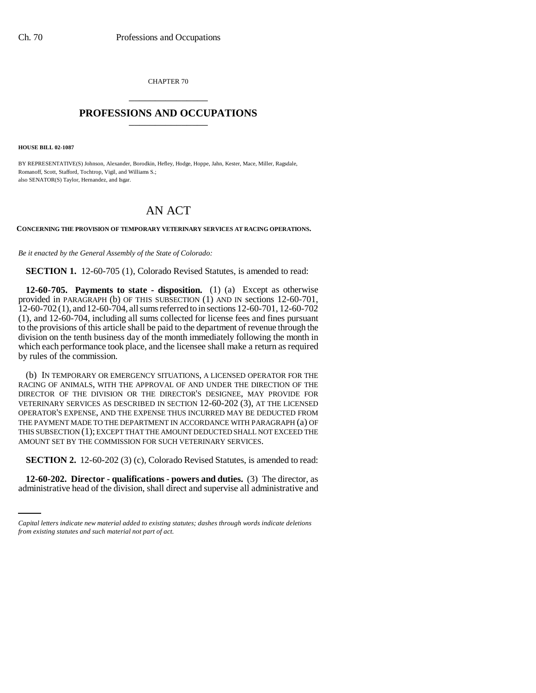CHAPTER 70 \_\_\_\_\_\_\_\_\_\_\_\_\_\_\_

## **PROFESSIONS AND OCCUPATIONS** \_\_\_\_\_\_\_\_\_\_\_\_\_\_\_

**HOUSE BILL 02-1087**

BY REPRESENTATIVE(S) Johnson, Alexander, Borodkin, Hefley, Hodge, Hoppe, Jahn, Kester, Mace, Miller, Ragsdale, Romanoff, Scott, Stafford, Tochtrop, Vigil, and Williams S.; also SENATOR(S) Taylor, Hernandez, and Isgar.

## AN ACT

**CONCERNING THE PROVISION OF TEMPORARY VETERINARY SERVICES AT RACING OPERATIONS.**

*Be it enacted by the General Assembly of the State of Colorado:*

**SECTION 1.** 12-60-705 (1), Colorado Revised Statutes, is amended to read:

**12-60-705. Payments to state - disposition.** (1) (a) Except as otherwise provided in PARAGRAPH (b) OF THIS SUBSECTION (1) AND IN sections 12-60-701, 12-60-702 (1), and 12-60-704, all sums referred to in sections 12-60-701, 12-60-702 (1), and 12-60-704, including all sums collected for license fees and fines pursuant to the provisions of this article shall be paid to the department of revenue through the division on the tenth business day of the month immediately following the month in which each performance took place, and the licensee shall make a return as required by rules of the commission.

(b) IN TEMPORARY OR EMERGENCY SITUATIONS, A LICENSED OPERATOR FOR THE RACING OF ANIMALS, WITH THE APPROVAL OF AND UNDER THE DIRECTION OF THE DIRECTOR OF THE DIVISION OR THE DIRECTOR'S DESIGNEE, MAY PROVIDE FOR VETERINARY SERVICES AS DESCRIBED IN SECTION 12-60-202 (3), AT THE LICENSED OPERATOR'S EXPENSE, AND THE EXPENSE THUS INCURRED MAY BE DEDUCTED FROM THE PAYMENT MADE TO THE DEPARTMENT IN ACCORDANCE WITH PARAGRAPH (a) OF THIS SUBSECTION (1); EXCEPT THAT THE AMOUNT DEDUCTED SHALL NOT EXCEED THE AMOUNT SET BY THE COMMISSION FOR SUCH VETERINARY SERVICES.

 $\sim$ **SECTION 2.** 12-60-202 (3) (c), Colorado Revised Statutes, is amended to read:

**12-60-202. Director - qualifications - powers and duties.** (3) The director, as administrative head of the division, shall direct and supervise all administrative and

*Capital letters indicate new material added to existing statutes; dashes through words indicate deletions from existing statutes and such material not part of act.*